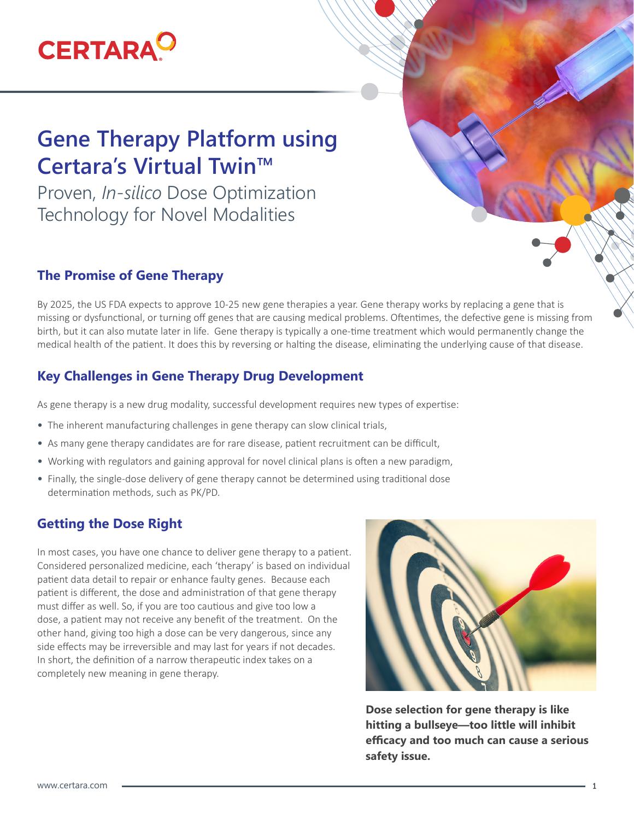# **CERTARA<sup>O</sup>**

# **Gene Therapy Platform using Certara's Virtual Twin™**

Proven, *In-silico* Dose Optimization Technology for Novel Modalities

### **The Promise of Gene Therapy**

By 2025, the US FDA expects to approve 10-25 new gene therapies a year. Gene therapy works by replacing a gene that is missing or dysfunctional, or turning off genes that are causing medical problems. Oftentimes, the defective gene is missing from birth, but it can also mutate later in life. Gene therapy is typically a one-time treatment which would permanently change the medical health of the patient. It does this by reversing or halting the disease, eliminating the underlying cause of that disease.

# **Key Challenges in Gene Therapy Drug Development**

As gene therapy is a new drug modality, successful development requires new types of expertise:

- The inherent manufacturing challenges in gene therapy can slow clinical trials,
- As many gene therapy candidates are for rare disease, patient recruitment can be difficult,
- Working with regulators and gaining approval for novel clinical plans is often a new paradigm,
- Finally, the single-dose delivery of gene therapy cannot be determined using traditional dose determination methods, such as PK/PD.

### **Getting the Dose Right**

In most cases, you have one chance to deliver gene therapy to a patient. Considered personalized medicine, each 'therapy' is based on individual patient data detail to repair or enhance faulty genes. Because each patient is different, the dose and administration of that gene therapy must differ as well. So, if you are too cautious and give too low a dose, a patient may not receive any benefit of the treatment. On the other hand, giving too high a dose can be very dangerous, since any side effects may be irreversible and may last for years if not decades. In short, the definition of a narrow therapeutic index takes on a completely new meaning in gene therapy.



**Dose selection for gene therapy is like hitting a bullseye—too little will inhibit efficacy and too much can cause a serious safety issue.**